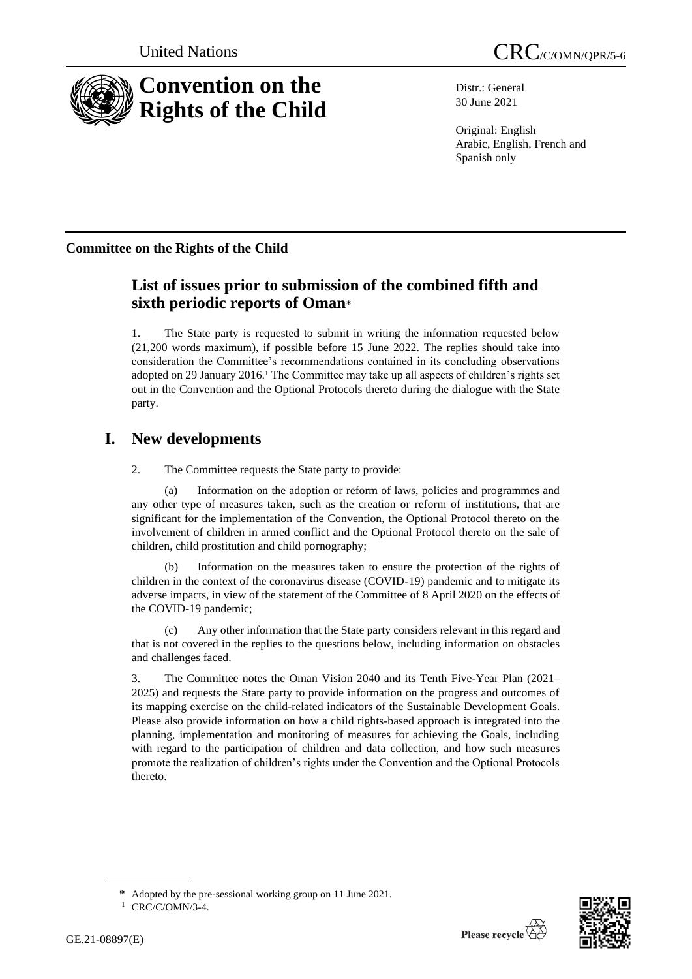

Distr.: General 30 June 2021

Original: English Arabic, English, French and Spanish only

# **Committee on the Rights of the Child**

# **List of issues prior to submission of the combined fifth and sixth periodic reports of Oman**\*

1. The State party is requested to submit in writing the information requested below (21,200 words maximum), if possible before 15 June 2022. The replies should take into consideration the Committee's recommendations contained in its concluding observations adopted on 29 January 2016.<sup>1</sup> The Committee may take up all aspects of children's rights set out in the Convention and the Optional Protocols thereto during the dialogue with the State party.

# **I. New developments**

2. The Committee requests the State party to provide:

(a) Information on the adoption or reform of laws, policies and programmes and any other type of measures taken, such as the creation or reform of institutions, that are significant for the implementation of the Convention, the Optional Protocol thereto on the involvement of children in armed conflict and the Optional Protocol thereto on the sale of children, child prostitution and child pornography;

Information on the measures taken to ensure the protection of the rights of children in the context of the coronavirus disease (COVID-19) pandemic and to mitigate its adverse impacts, in view of the statement of the Committee of 8 April 2020 on the effects of the COVID-19 pandemic;

(c) Any other information that the State party considers relevant in this regard and that is not covered in the replies to the questions below, including information on obstacles and challenges faced.

3. The Committee notes the Oman Vision 2040 and its Tenth Five-Year Plan (2021– 2025) and requests the State party to provide information on the progress and outcomes of its mapping exercise on the child-related indicators of the Sustainable Development Goals. Please also provide information on how a child rights-based approach is integrated into the planning, implementation and monitoring of measures for achieving the Goals, including with regard to the participation of children and data collection, and how such measures promote the realization of children's rights under the Convention and the Optional Protocols thereto.

Adopted by the pre-sessional working group on 11 June 2021.



<sup>&</sup>lt;sup>1</sup> CRC/C/OMN/3-4.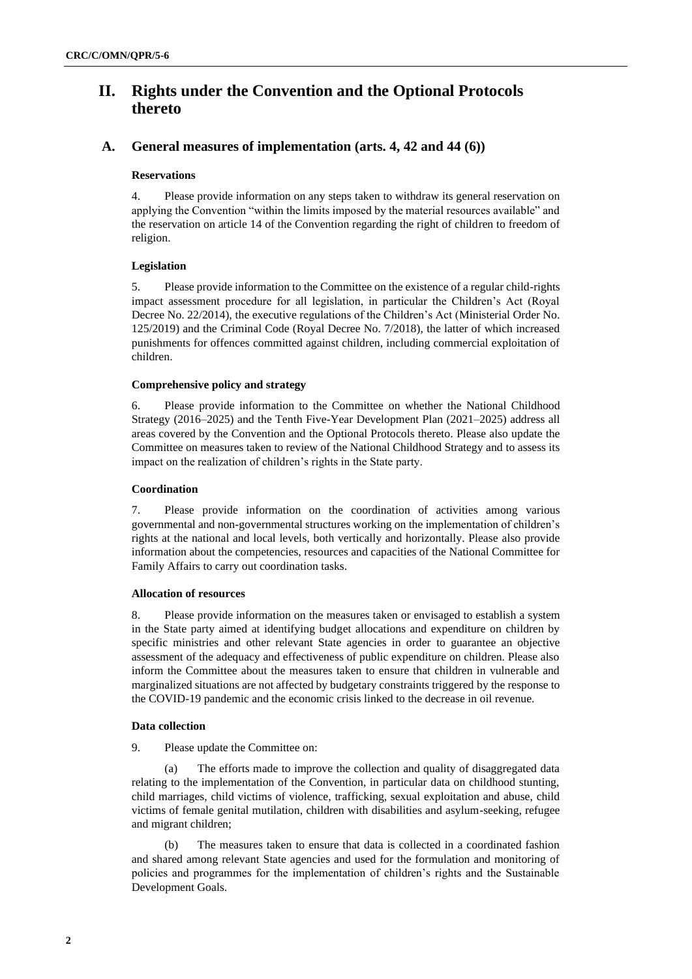# **II. Rights under the Convention and the Optional Protocols thereto**

# **A. General measures of implementation (arts. 4, 42 and 44 (6))**

#### **Reservations**

4. Please provide information on any steps taken to withdraw its general reservation on applying the Convention "within the limits imposed by the material resources available" and the reservation on article 14 of the Convention regarding the right of children to freedom of religion.

#### **Legislation**

5. Please provide information to the Committee on the existence of a regular child-rights impact assessment procedure for all legislation, in particular the Children's Act (Royal Decree No. 22/2014), the executive regulations of the Children's Act (Ministerial Order No. 125/2019) and the Criminal Code (Royal Decree No. 7/2018), the latter of which increased punishments for offences committed against children, including commercial exploitation of children.

#### **Comprehensive policy and strategy**

6. Please provide information to the Committee on whether the National Childhood Strategy (2016–2025) and the Tenth Five-Year Development Plan (2021–2025) address all areas covered by the Convention and the Optional Protocols thereto. Please also update the Committee on measures taken to review of the National Childhood Strategy and to assess its impact on the realization of children's rights in the State party.

#### **Coordination**

7. Please provide information on the coordination of activities among various governmental and non-governmental structures working on the implementation of children's rights at the national and local levels, both vertically and horizontally. Please also provide information about the competencies, resources and capacities of the National Committee for Family Affairs to carry out coordination tasks.

#### **Allocation of resources**

8. Please provide information on the measures taken or envisaged to establish a system in the State party aimed at identifying budget allocations and expenditure on children by specific ministries and other relevant State agencies in order to guarantee an objective assessment of the adequacy and effectiveness of public expenditure on children. Please also inform the Committee about the measures taken to ensure that children in vulnerable and marginalized situations are not affected by budgetary constraints triggered by the response to the COVID-19 pandemic and the economic crisis linked to the decrease in oil revenue.

#### **Data collection**

9. Please update the Committee on:

(a) The efforts made to improve the collection and quality of disaggregated data relating to the implementation of the Convention, in particular data on childhood stunting, child marriages, child victims of violence, trafficking, sexual exploitation and abuse, child victims of female genital mutilation, children with disabilities and asylum-seeking, refugee and migrant children;

(b) The measures taken to ensure that data is collected in a coordinated fashion and shared among relevant State agencies and used for the formulation and monitoring of policies and programmes for the implementation of children's rights and the Sustainable Development Goals.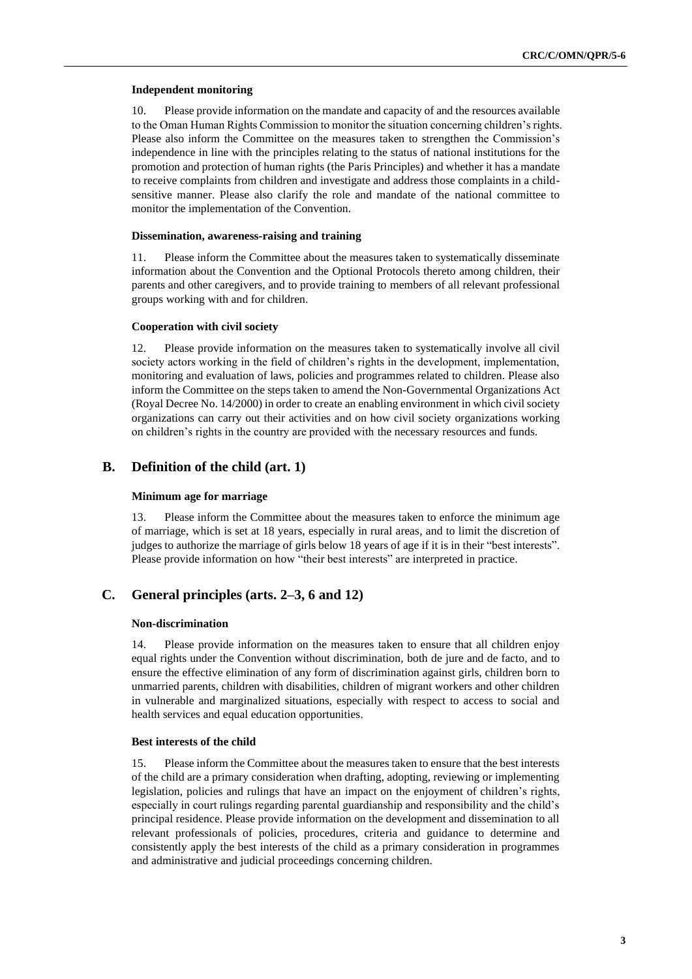#### **Independent monitoring**

10. Please provide information on the mandate and capacity of and the resources available to the Oman Human Rights Commission to monitor the situation concerning children's rights. Please also inform the Committee on the measures taken to strengthen the Commission's independence in line with the principles relating to the status of national institutions for the promotion and protection of human rights (the Paris Principles) and whether it has a mandate to receive complaints from children and investigate and address those complaints in a childsensitive manner. Please also clarify the role and mandate of the national committee to monitor the implementation of the Convention.

#### **Dissemination, awareness-raising and training**

11. Please inform the Committee about the measures taken to systematically disseminate information about the Convention and the Optional Protocols thereto among children, their parents and other caregivers, and to provide training to members of all relevant professional groups working with and for children.

#### **Cooperation with civil society**

12. Please provide information on the measures taken to systematically involve all civil society actors working in the field of children's rights in the development, implementation, monitoring and evaluation of laws, policies and programmes related to children. Please also inform the Committee on the steps taken to amend the Non-Governmental Organizations Act (Royal Decree No. 14/2000) in order to create an enabling environment in which civil society organizations can carry out their activities and on how civil society organizations working on children's rights in the country are provided with the necessary resources and funds.

## **B. Definition of the child (art. 1)**

#### **Minimum age for marriage**

13. Please inform the Committee about the measures taken to enforce the minimum age of marriage, which is set at 18 years, especially in rural areas, and to limit the discretion of judges to authorize the marriage of girls below 18 years of age if it is in their "best interests". Please provide information on how "their best interests" are interpreted in practice.

# **C. General principles (arts. 2–3, 6 and 12)**

#### **Non-discrimination**

14. Please provide information on the measures taken to ensure that all children enjoy equal rights under the Convention without discrimination, both de jure and de facto, and to ensure the effective elimination of any form of discrimination against girls, children born to unmarried parents, children with disabilities, children of migrant workers and other children in vulnerable and marginalized situations, especially with respect to access to social and health services and equal education opportunities.

#### **Best interests of the child**

15. Please inform the Committee about the measures taken to ensure that the best interests of the child are a primary consideration when drafting, adopting, reviewing or implementing legislation, policies and rulings that have an impact on the enjoyment of children's rights, especially in court rulings regarding parental guardianship and responsibility and the child's principal residence. Please provide information on the development and dissemination to all relevant professionals of policies, procedures, criteria and guidance to determine and consistently apply the best interests of the child as a primary consideration in programmes and administrative and judicial proceedings concerning children.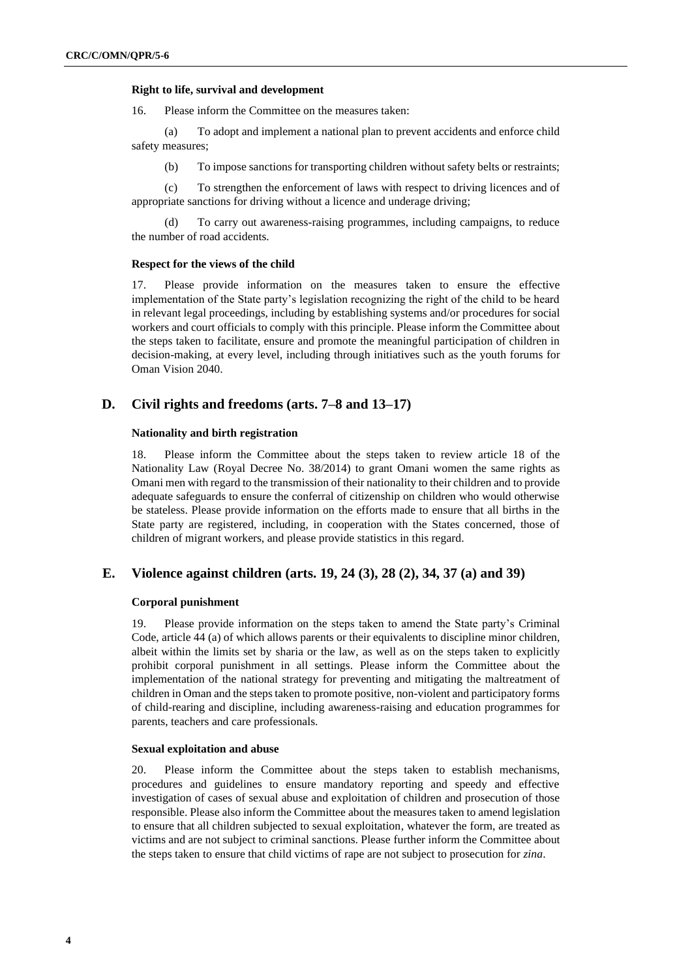#### **Right to life, survival and development**

16. Please inform the Committee on the measures taken:

(a) To adopt and implement a national plan to prevent accidents and enforce child safety measures;

(b) To impose sanctions for transporting children without safety belts or restraints;

(c) To strengthen the enforcement of laws with respect to driving licences and of appropriate sanctions for driving without a licence and underage driving;

(d) To carry out awareness-raising programmes, including campaigns, to reduce the number of road accidents.

#### **Respect for the views of the child**

17. Please provide information on the measures taken to ensure the effective implementation of the State party's legislation recognizing the right of the child to be heard in relevant legal proceedings, including by establishing systems and/or procedures for social workers and court officials to comply with this principle. Please inform the Committee about the steps taken to facilitate, ensure and promote the meaningful participation of children in decision-making, at every level, including through initiatives such as the youth forums for Oman Vision 2040.

### **D. Civil rights and freedoms (arts. 7–8 and 13–17)**

#### **Nationality and birth registration**

18. Please inform the Committee about the steps taken to review article 18 of the Nationality Law (Royal Decree No. 38/2014) to grant Omani women the same rights as Omani men with regard to the transmission of their nationality to their children and to provide adequate safeguards to ensure the conferral of citizenship on children who would otherwise be stateless. Please provide information on the efforts made to ensure that all births in the State party are registered, including, in cooperation with the States concerned, those of children of migrant workers, and please provide statistics in this regard.

### **E. Violence against children (arts. 19, 24 (3), 28 (2), 34, 37 (a) and 39)**

#### **Corporal punishment**

19. Please provide information on the steps taken to amend the State party's Criminal Code, article 44 (a) of which allows parents or their equivalents to discipline minor children, albeit within the limits set by sharia or the law, as well as on the steps taken to explicitly prohibit corporal punishment in all settings. Please inform the Committee about the implementation of the national strategy for preventing and mitigating the maltreatment of children in Oman and the steps taken to promote positive, non-violent and participatory forms of child-rearing and discipline, including awareness-raising and education programmes for parents, teachers and care professionals.

#### **Sexual exploitation and abuse**

20. Please inform the Committee about the steps taken to establish mechanisms, procedures and guidelines to ensure mandatory reporting and speedy and effective investigation of cases of sexual abuse and exploitation of children and prosecution of those responsible. Please also inform the Committee about the measures taken to amend legislation to ensure that all children subjected to sexual exploitation, whatever the form, are treated as victims and are not subject to criminal sanctions. Please further inform the Committee about the steps taken to ensure that child victims of rape are not subject to prosecution for *zina*.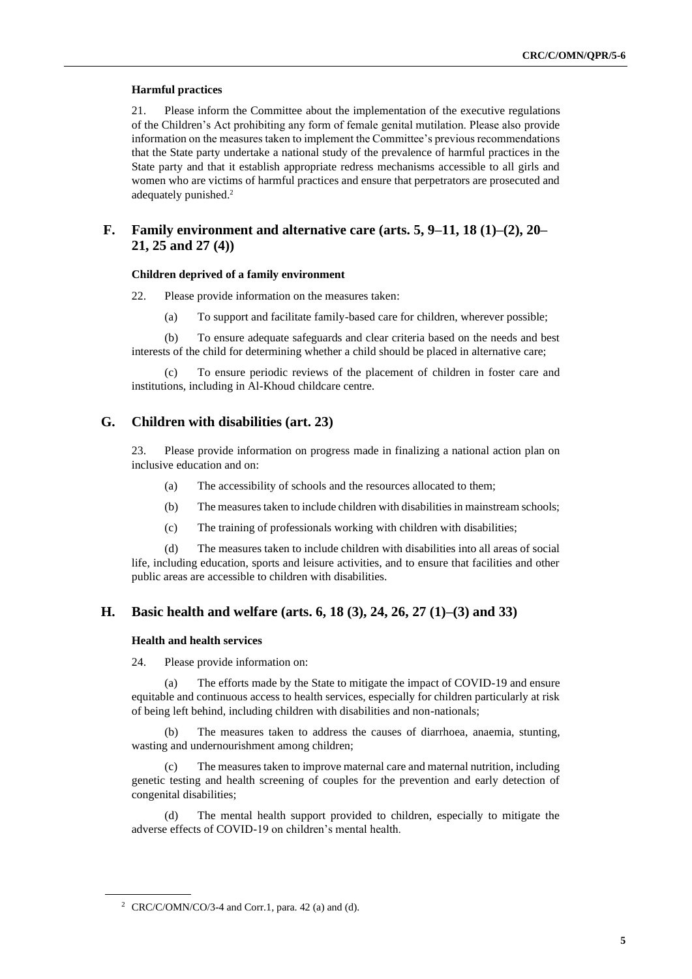#### **Harmful practices**

21. Please inform the Committee about the implementation of the executive regulations of the Children's Act prohibiting any form of female genital mutilation. Please also provide information on the measures taken to implement the Committee's previous recommendations that the State party undertake a national study of the prevalence of harmful practices in the State party and that it establish appropriate redress mechanisms accessible to all girls and women who are victims of harmful practices and ensure that perpetrators are prosecuted and adequately punished. 2

# **F. Family environment and alternative care (arts. 5, 9–11, 18 (1)–(2), 20– 21, 25 and 27 (4))**

#### **Children deprived of a family environment**

22. Please provide information on the measures taken:

(a) To support and facilitate family-based care for children, wherever possible;

(b) To ensure adequate safeguards and clear criteria based on the needs and best interests of the child for determining whether a child should be placed in alternative care;

(c) To ensure periodic reviews of the placement of children in foster care and institutions, including in Al-Khoud childcare centre.

### **G. Children with disabilities (art. 23)**

23. Please provide information on progress made in finalizing a national action plan on inclusive education and on:

- (a) The accessibility of schools and the resources allocated to them;
- (b) The measures taken to include children with disabilities in mainstream schools;
- (c) The training of professionals working with children with disabilities;

(d) The measures taken to include children with disabilities into all areas of social life, including education, sports and leisure activities, and to ensure that facilities and other public areas are accessible to children with disabilities.

# **H. Basic health and welfare (arts. 6, 18 (3), 24, 26, 27 (1)–(3) and 33)**

### **Health and health services**

24. Please provide information on:

(a) The efforts made by the State to mitigate the impact of COVID-19 and ensure equitable and continuous access to health services, especially for children particularly at risk of being left behind, including children with disabilities and non-nationals;

(b) The measures taken to address the causes of diarrhoea, anaemia, stunting, wasting and undernourishment among children;

The measures taken to improve maternal care and maternal nutrition, including genetic testing and health screening of couples for the prevention and early detection of congenital disabilities;

(d) The mental health support provided to children, especially to mitigate the adverse effects of COVID-19 on children's mental health.

<sup>&</sup>lt;sup>2</sup> CRC/C/OMN/CO/3-4 and Corr.1, para. 42 (a) and (d).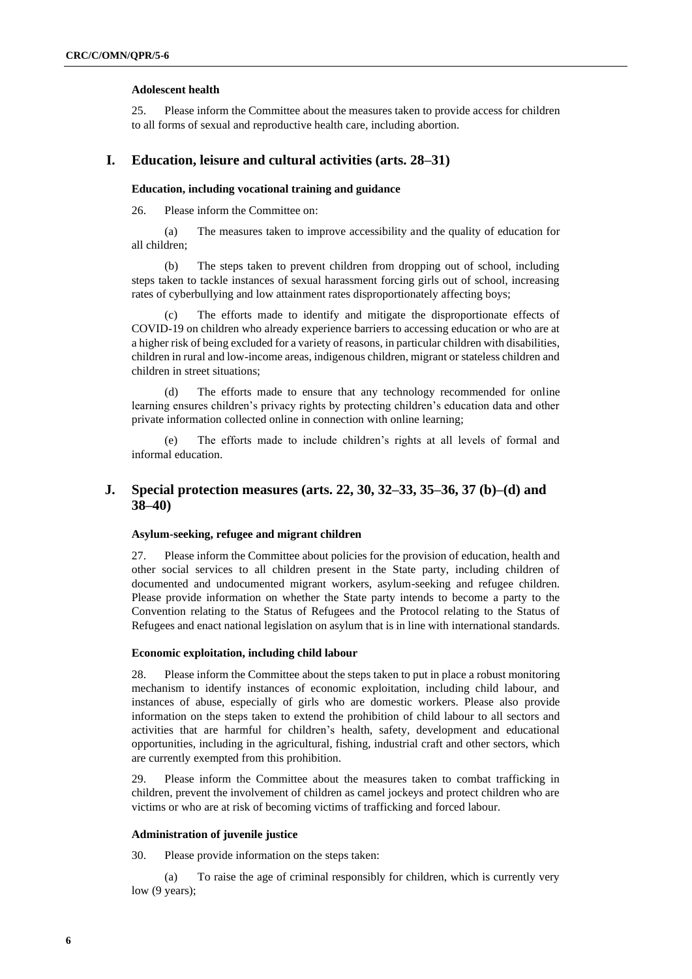#### **Adolescent health**

25. Please inform the Committee about the measures taken to provide access for children to all forms of sexual and reproductive health care, including abortion.

## **I. Education, leisure and cultural activities (arts. 28–31)**

#### **Education, including vocational training and guidance**

26. Please inform the Committee on:

(a) The measures taken to improve accessibility and the quality of education for all children;

(b) The steps taken to prevent children from dropping out of school, including steps taken to tackle instances of sexual harassment forcing girls out of school, increasing rates of cyberbullying and low attainment rates disproportionately affecting boys;

(c) The efforts made to identify and mitigate the disproportionate effects of COVID-19 on children who already experience barriers to accessing education or who are at a higher risk of being excluded for a variety of reasons, in particular children with disabilities, children in rural and low-income areas, indigenous children, migrant or stateless children and children in street situations;

(d) The efforts made to ensure that any technology recommended for online learning ensures children's privacy rights by protecting children's education data and other private information collected online in connection with online learning;

(e) The efforts made to include children's rights at all levels of formal and informal education.

# **J. Special protection measures (arts. 22, 30, 32–33, 35–36, 37 (b)–(d) and 38–40)**

#### **Asylum-seeking, refugee and migrant children**

27. Please inform the Committee about policies for the provision of education, health and other social services to all children present in the State party, including children of documented and undocumented migrant workers, asylum-seeking and refugee children. Please provide information on whether the State party intends to become a party to the Convention relating to the Status of Refugees and the Protocol relating to the Status of Refugees and enact national legislation on asylum that is in line with international standards.

#### **Economic exploitation, including child labour**

28. Please inform the Committee about the steps taken to put in place a robust monitoring mechanism to identify instances of economic exploitation, including child labour, and instances of abuse, especially of girls who are domestic workers. Please also provide information on the steps taken to extend the prohibition of child labour to all sectors and activities that are harmful for children's health, safety, development and educational opportunities, including in the agricultural, fishing, industrial craft and other sectors, which are currently exempted from this prohibition.

29. Please inform the Committee about the measures taken to combat trafficking in children, prevent the involvement of children as camel jockeys and protect children who are victims or who are at risk of becoming victims of trafficking and forced labour.

#### **Administration of juvenile justice**

30. Please provide information on the steps taken:

(a) To raise the age of criminal responsibly for children, which is currently very low (9 years);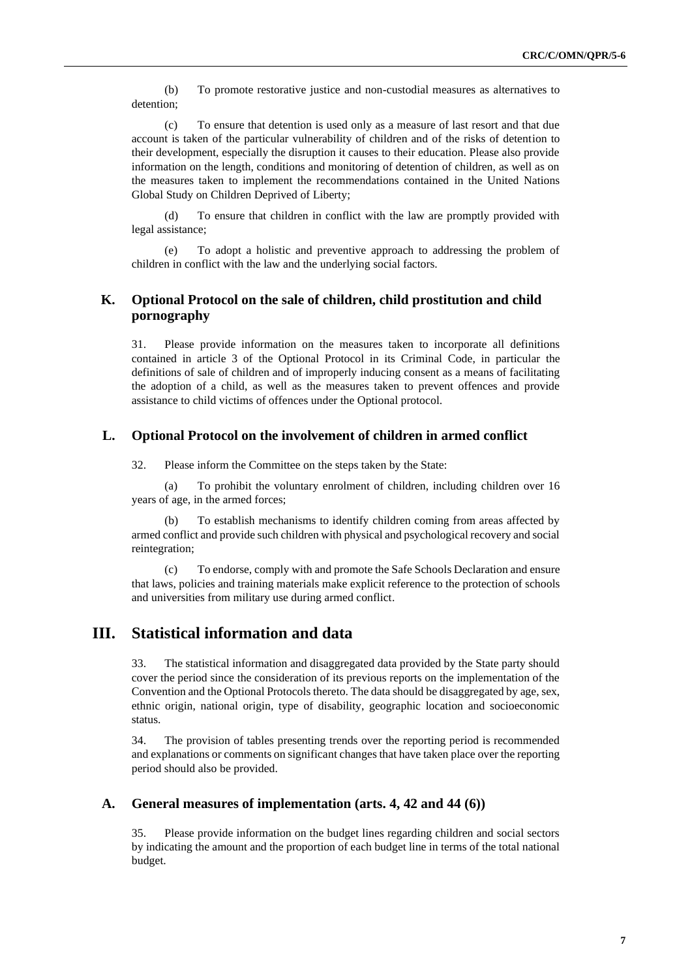(b) To promote restorative justice and non-custodial measures as alternatives to detention;

(c) To ensure that detention is used only as a measure of last resort and that due account is taken of the particular vulnerability of children and of the risks of detention to their development, especially the disruption it causes to their education. Please also provide information on the length, conditions and monitoring of detention of children, as well as on the measures taken to implement the recommendations contained in the United Nations Global Study on Children Deprived of Liberty;

(d) To ensure that children in conflict with the law are promptly provided with legal assistance;

(e) To adopt a holistic and preventive approach to addressing the problem of children in conflict with the law and the underlying social factors.

# **K. Optional Protocol on the sale of children, child prostitution and child pornography**

31. Please provide information on the measures taken to incorporate all definitions contained in article 3 of the Optional Protocol in its Criminal Code, in particular the definitions of sale of children and of improperly inducing consent as a means of facilitating the adoption of a child, as well as the measures taken to prevent offences and provide assistance to child victims of offences under the Optional protocol.

## **L. Optional Protocol on the involvement of children in armed conflict**

32. Please inform the Committee on the steps taken by the State:

(a) To prohibit the voluntary enrolment of children, including children over 16 years of age, in the armed forces;

To establish mechanisms to identify children coming from areas affected by armed conflict and provide such children with physical and psychological recovery and social reintegration;

(c) To endorse, comply with and promote the Safe Schools Declaration and ensure that laws, policies and training materials make explicit reference to the protection of schools and universities from military use during armed conflict.

# **III. Statistical information and data**

33. The statistical information and disaggregated data provided by the State party should cover the period since the consideration of its previous reports on the implementation of the Convention and the Optional Protocols thereto. The data should be disaggregated by age, sex, ethnic origin, national origin, type of disability, geographic location and socioeconomic status.

34. The provision of tables presenting trends over the reporting period is recommended and explanations or comments on significant changes that have taken place over the reporting period should also be provided.

# **A. General measures of implementation (arts. 4, 42 and 44 (6))**

35. Please provide information on the budget lines regarding children and social sectors by indicating the amount and the proportion of each budget line in terms of the total national budget.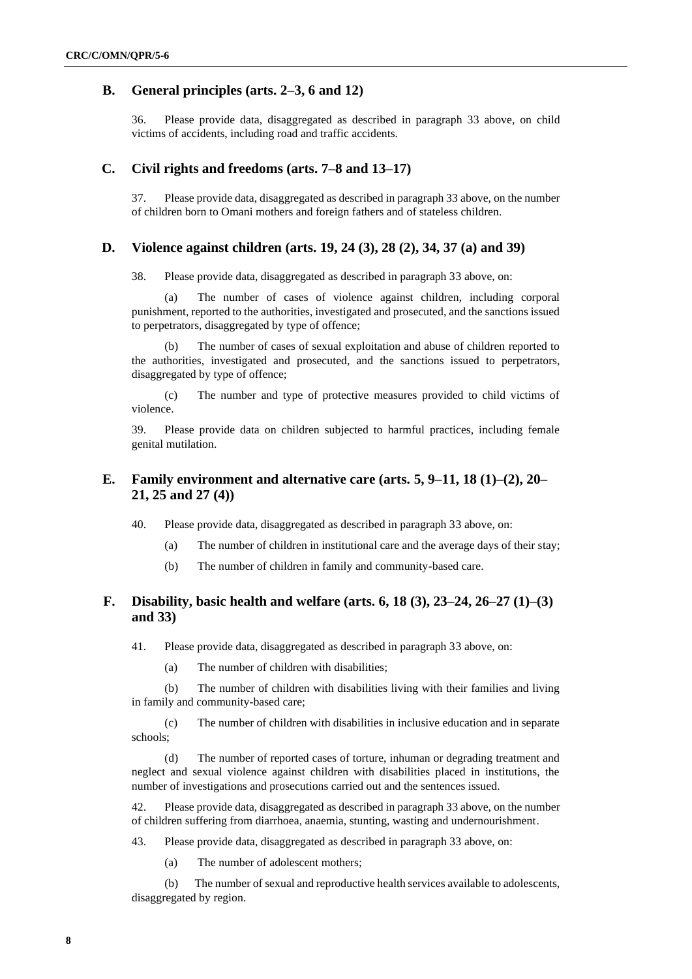# **B. General principles (arts. 2–3, 6 and 12)**

36. Please provide data, disaggregated as described in paragraph 33 above, on child victims of accidents, including road and traffic accidents.

### **C. Civil rights and freedoms (arts. 7–8 and 13–17)**

37. Please provide data, disaggregated as described in paragraph 33 above, on the number of children born to Omani mothers and foreign fathers and of stateless children.

### **D. Violence against children (arts. 19, 24 (3), 28 (2), 34, 37 (a) and 39)**

38. Please provide data, disaggregated as described in paragraph 33 above, on:

(a) The number of cases of violence against children, including corporal punishment, reported to the authorities, investigated and prosecuted, and the sanctions issued to perpetrators, disaggregated by type of offence;

(b) The number of cases of sexual exploitation and abuse of children reported to the authorities, investigated and prosecuted, and the sanctions issued to perpetrators, disaggregated by type of offence;

(c) The number and type of protective measures provided to child victims of violence.

39. Please provide data on children subjected to harmful practices, including female genital mutilation.

# **E. Family environment and alternative care (arts. 5, 9–11, 18 (1)–(2), 20– 21, 25 and 27 (4))**

40. Please provide data, disaggregated as described in paragraph 33 above, on:

- (a) The number of children in institutional care and the average days of their stay;
- (b) The number of children in family and community-based care.

# **F. Disability, basic health and welfare (arts. 6, 18 (3), 23–24, 26–27 (1)–(3) and 33)**

41. Please provide data, disaggregated as described in paragraph 33 above, on:

(a) The number of children with disabilities;

(b) The number of children with disabilities living with their families and living in family and community-based care;

(c) The number of children with disabilities in inclusive education and in separate schools;

(d) The number of reported cases of torture, inhuman or degrading treatment and neglect and sexual violence against children with disabilities placed in institutions, the number of investigations and prosecutions carried out and the sentences issued.

42. Please provide data, disaggregated as described in paragraph 33 above, on the number of children suffering from diarrhoea, anaemia, stunting, wasting and undernourishment.

43. Please provide data, disaggregated as described in paragraph 33 above, on:

(a) The number of adolescent mothers;

(b) The number of sexual and reproductive health services available to adolescents, disaggregated by region.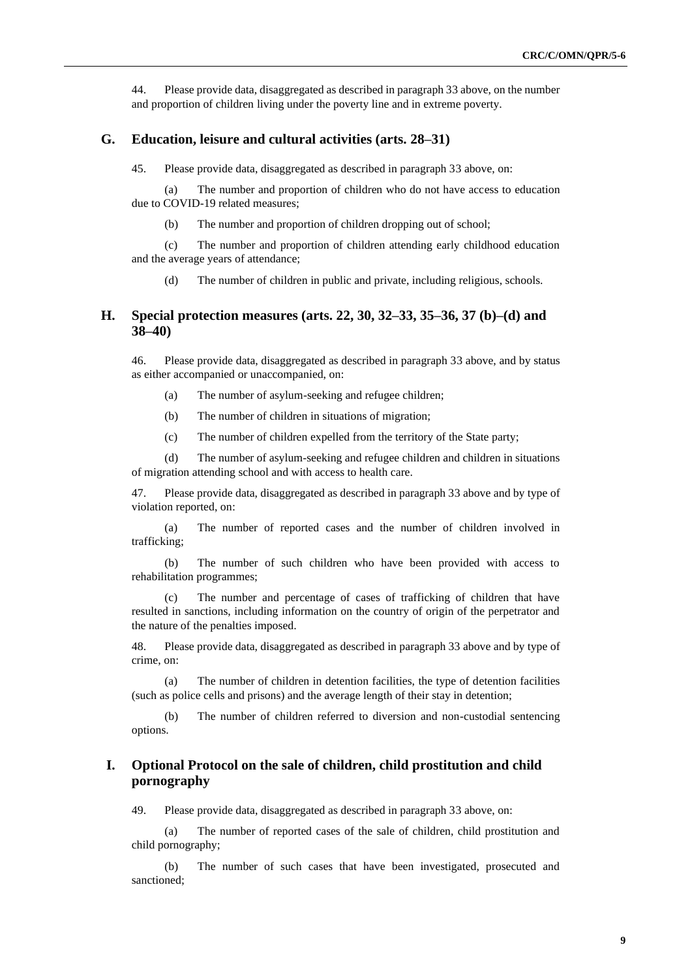44. Please provide data, disaggregated as described in paragraph 33 above, on the number and proportion of children living under the poverty line and in extreme poverty.

#### **G. Education, leisure and cultural activities (arts. 28–31)**

45. Please provide data, disaggregated as described in paragraph 33 above, on:

(a) The number and proportion of children who do not have access to education due to COVID-19 related measures;

(b) The number and proportion of children dropping out of school;

(c) The number and proportion of children attending early childhood education and the average years of attendance;

(d) The number of children in public and private, including religious, schools.

## **H. Special protection measures (arts. 22, 30, 32–33, 35–36, 37 (b)–(d) and 38–40)**

46. Please provide data, disaggregated as described in paragraph 33 above, and by status as either accompanied or unaccompanied, on:

(a) The number of asylum-seeking and refugee children;

(b) The number of children in situations of migration;

(c) The number of children expelled from the territory of the State party;

(d) The number of asylum-seeking and refugee children and children in situations of migration attending school and with access to health care.

47. Please provide data, disaggregated as described in paragraph 33 above and by type of violation reported, on:

(a) The number of reported cases and the number of children involved in trafficking;

(b) The number of such children who have been provided with access to rehabilitation programmes;

(c) The number and percentage of cases of trafficking of children that have resulted in sanctions, including information on the country of origin of the perpetrator and the nature of the penalties imposed.

48. Please provide data, disaggregated as described in paragraph 33 above and by type of crime, on:

(a) The number of children in detention facilities, the type of detention facilities (such as police cells and prisons) and the average length of their stay in detention;

(b) The number of children referred to diversion and non-custodial sentencing options.

# **I. Optional Protocol on the sale of children, child prostitution and child pornography**

49. Please provide data, disaggregated as described in paragraph 33 above, on:

(a) The number of reported cases of the sale of children, child prostitution and child pornography;

(b) The number of such cases that have been investigated, prosecuted and sanctioned;